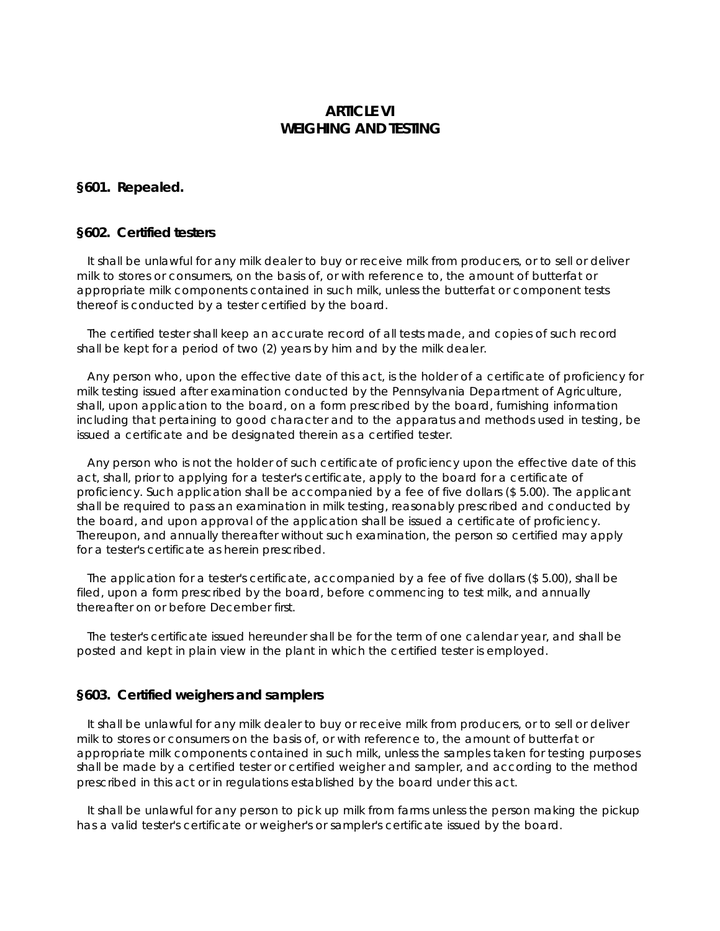# **ARTICLE VI WEIGHING AND TESTING**

## **§601. Repealed.**

## **§602. Certified testers**

 It shall be unlawful for any milk dealer to buy or receive milk from producers, or to sell or deliver milk to stores or consumers, on the basis of, or with reference to, the amount of butterfat or appropriate milk components contained in such milk, unless the butterfat or component tests thereof is conducted by a tester certified by the board.

 The certified tester shall keep an accurate record of all tests made, and copies of such record shall be kept for a period of two (2) years by him and by the milk dealer.

 Any person who, upon the effective date of this act, is the holder of a certificate of proficiency for milk testing issued after examination conducted by the Pennsylvania Department of Agriculture, shall, upon application to the board, on a form prescribed by the board, furnishing information including that pertaining to good character and to the apparatus and methods used in testing, be issued a certificate and be designated therein as a certified tester.

 Any person who is not the holder of such certificate of proficiency upon the effective date of this act, shall, prior to applying for a tester's certificate, apply to the board for a certificate of proficiency. Such application shall be accompanied by a fee of five dollars (\$ 5.00). The applicant shall be required to pass an examination in milk testing, reasonably prescribed and conducted by the board, and upon approval of the application shall be issued a certificate of proficiency. Thereupon, and annually thereafter without such examination, the person so certified may apply for a tester's certificate as herein prescribed.

 The application for a tester's certificate, accompanied by a fee of five dollars (\$ 5.00), shall be filed, upon a form prescribed by the board, before commencing to test milk, and annually thereafter on or before December first.

 The tester's certificate issued hereunder shall be for the term of one calendar year, and shall be posted and kept in plain view in the plant in which the certified tester is employed.

#### **§603. Certified weighers and samplers**

 It shall be unlawful for any milk dealer to buy or receive milk from producers, or to sell or deliver milk to stores or consumers on the basis of, or with reference to, the amount of butterfat or appropriate milk components contained in such milk, unless the samples taken for testing purposes shall be made by a certified tester or certified weigher and sampler, and according to the method prescribed in this act or in regulations established by the board under this act.

 It shall be unlawful for any person to pick up milk from farms unless the person making the pickup has a valid tester's certificate or weigher's or sampler's certificate issued by the board.